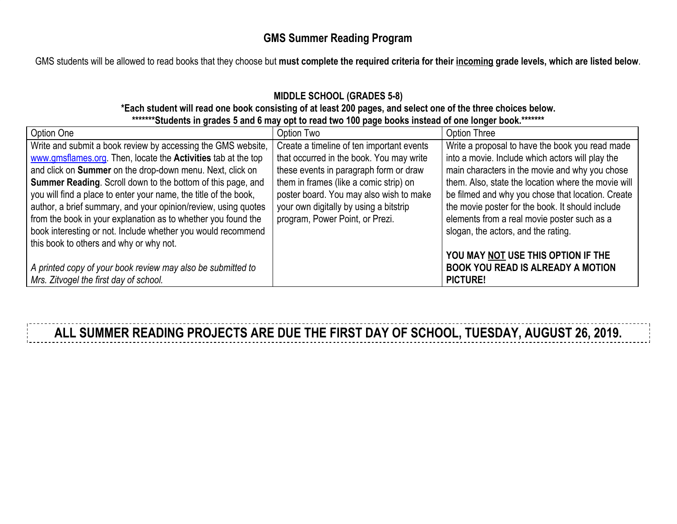## **GMS Summer Reading Program**

GMS students will be allowed to read books that they choose but **must complete the required criteria for their incoming grade levels, which are listed below**.

## **MIDDLE SCHOOL (GRADES 5-8)**

#### **\*Each student will read one book consisting of at least 200 pages, and select one of the three choices below. \*\*\*\*\*\*\*Students in grades 5 and 6 may opt to read two 100 page books instead of one longer book.\*\*\*\*\*\*\***

| Option One                                                           | Option Two                                | Option Three                                        |
|----------------------------------------------------------------------|-------------------------------------------|-----------------------------------------------------|
| Write and submit a book review by accessing the GMS website,         | Create a timeline of ten important events | Write a proposal to have the book you read made     |
| www.gmsflames.org. Then, locate the <b>Activities</b> tab at the top | that occurred in the book. You may write  | into a movie. Include which actors will play the    |
| and click on Summer on the drop-down menu. Next, click on            | these events in paragraph form or draw    | main characters in the movie and why you chose      |
| <b>Summer Reading.</b> Scroll down to the bottom of this page, and   | them in frames (like a comic strip) on    | them. Also, state the location where the movie will |
| you will find a place to enter your name, the title of the book,     | poster board. You may also wish to make   | be filmed and why you chose that location. Create   |
| author, a brief summary, and your opinion/review, using quotes       | your own digitally by using a bitstrip    | the movie poster for the book. It should include    |
| from the book in your explanation as to whether you found the        | program, Power Point, or Prezi.           | elements from a real movie poster such as a         |
| book interesting or not. Include whether you would recommend         |                                           | slogan, the actors, and the rating.                 |
| this book to others and why or why not.                              |                                           |                                                     |
|                                                                      |                                           | YOU MAY NOT USE THIS OPTION IF THE                  |
| A printed copy of your book review may also be submitted to          |                                           | <b>BOOK YOU READ IS ALREADY A MOTION</b>            |
| Mrs. Zitvogel the first day of school.                               |                                           | <b>PICTURE!</b>                                     |

**ALL SUMMER READING PROJECTS ARE DUE THE FIRST DAY OF SCHOOL, TUESDAY, AUGUST 26, 2019.**